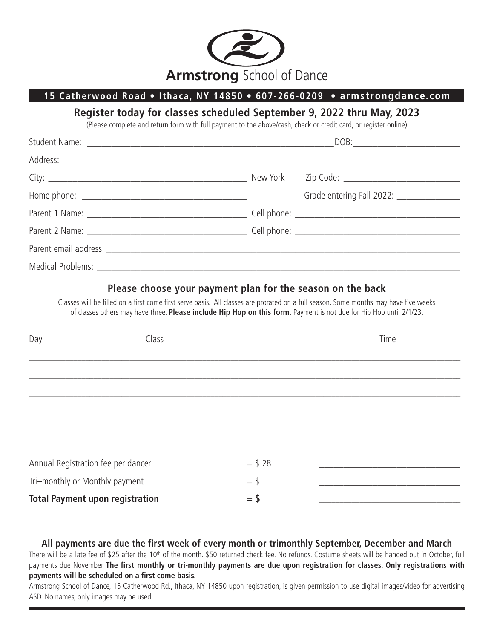

## **15 Catherwood Road** • **Ithaca, NY 14850** • **607-266-0209 • armstrongdance.com**

## **Register today for classes scheduled September 9, 2022 thru May, 2023**

(Please complete and return form with full payment to the above/cash, check or credit card, or register online)

| $\texttt{DOB:}\n \begin{tabular}{ c c c c } \hline \multicolumn{3}{ c }{\textbf{DOB:}}\hline \multicolumn{3}{ c }{\textbf{OOD:}}\hline \multicolumn{3}{ c }{\textbf{OOD:}}\hline \multicolumn{3}{ c }{\textbf{OOD:}}\hline \multicolumn{3}{ c }{\textbf{OOD:}}\hline \multicolumn{3}{ c }{\textbf{OOD:}}\hline \multicolumn{3}{ c }{\textbf{OOD:}}\hline \multicolumn{3}{ c }{\textbf{OOD:}}\hline \multicolumn{3}{ c }{\textbf{O$ |
|------------------------------------------------------------------------------------------------------------------------------------------------------------------------------------------------------------------------------------------------------------------------------------------------------------------------------------------------------------------------------------------------------------------------------------|
|                                                                                                                                                                                                                                                                                                                                                                                                                                    |
|                                                                                                                                                                                                                                                                                                                                                                                                                                    |
| Grade entering Fall 2022: ________________                                                                                                                                                                                                                                                                                                                                                                                         |
|                                                                                                                                                                                                                                                                                                                                                                                                                                    |
|                                                                                                                                                                                                                                                                                                                                                                                                                                    |
|                                                                                                                                                                                                                                                                                                                                                                                                                                    |
|                                                                                                                                                                                                                                                                                                                                                                                                                                    |
|                                                                                                                                                                                                                                                                                                                                                                                                                                    |

## **Please choose your payment plan for the season on the back**

Classes will be filled on a first come first serve basis. All classes are prorated on a full season. Some months may have five weeks of classes others may have three. **Please include Hip Hop on this form.** Payment is not due for Hip Hop until 2/1/23.

|                                        |           | <b>Time</b> and the state of the state of the state of the state of the state of the state of the state of the state of the state of the state of the state of the state of the state of the state of the state of the state of the |
|----------------------------------------|-----------|-------------------------------------------------------------------------------------------------------------------------------------------------------------------------------------------------------------------------------------|
|                                        |           |                                                                                                                                                                                                                                     |
|                                        |           |                                                                                                                                                                                                                                     |
|                                        |           |                                                                                                                                                                                                                                     |
|                                        |           |                                                                                                                                                                                                                                     |
|                                        |           |                                                                                                                                                                                                                                     |
|                                        |           |                                                                                                                                                                                                                                     |
| Annual Registration fee per dancer     | $=$ \$ 28 |                                                                                                                                                                                                                                     |
| Tri-monthly or Monthly payment         | $=$ \$    |                                                                                                                                                                                                                                     |
| <b>Total Payment upon registration</b> | $=$ \$    |                                                                                                                                                                                                                                     |

**All payments are due the first week of every month or trimonthly September, December and March**  There will be a late fee of \$25 after the 10<sup>th</sup> of the month. \$50 returned check fee. No refunds. Costume sheets will be handed out in October, full payments due November **The first monthly or tri-monthly payments are due upon registration for classes. Only registrations with payments will be scheduled on a first come basis.** 

Armstrong School of Dance, 15 Catherwood Rd., Ithaca, NY 14850 upon registration, is given permission to use digital images/video for advertising ASD. No names, only images may be used.